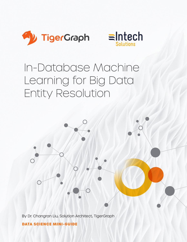



# In-Database Machine Learning for Big Data Entity Resolution



By Dr. Changran Liu, Solution Architect, TigerGraph

**DATA SCIENCE MINI-GUIDE**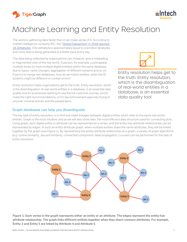

# Machine Learning and Entity Resolution

The world is gathering data faster than it can make sense of it. According to market intelligence company IDC, the "Global Datasphere" in 2018 reached [18 Zettabytes.](https://www.idc.com/getdoc.jsp?containerId=prUS46286020) One zettabyte is approximately equal to one billion terabytes and more data is being generated at a faster pace every day.

The data being collected by organizations can, however, give a misleading or fragmented view of the real world. A person, for example, could appear multiple times (or have multiple digital entities) within the same database, due to typos, name changes, aggregation of different systems and so on. If we try to merge two databases, how do we match entities, when the ID systems might be different or contain errors?

Entity resolution helps organizations get to the truth. Entity resolution, which is the disambiguation of real-world entities in a database, is an essential data quality tool for businesses wanting to see the full customer journey, and to make the right recommendations, or for law enforcement agencies trying to uncover criminal activity and the perpetrators.

# Graph databases can help you disambiguate

The key task of entity resolution is to find and make linkages between digital entities which refer to the same real-world entities. Graph is the most intuitive, and as we will also show later, the most efficient data structure used for connecting dots. Using graph, each digital entity or attribute can be represented as a vertex, and the entity-has-attribute relationships can be represented as edges. In such an entity-attribute graph, when multiple entities share the same attributes, they will be linked together by the graph (see Figure 1). By representing the entity-attribute relationship as a graph, a variety of graph algorithms (e.g. cosine similarity, Jaccard similarity, connected component, label propagation, Louvain) can be performed for the task of entity resolution.



Figure 1: Each vertex in the graph represents either an entity or an attribute. The edges represent the entity-hasattribute relationship. The graph links different entities together when they share common attributes. For example, Entity 3 and Entity 5 are linked by Attribute 4 and Attribute 5.



Entity resolution helps get to the truth. Entity resolution, which is the disambiguation of real-world entities in a database, is an essential

data quality tool.

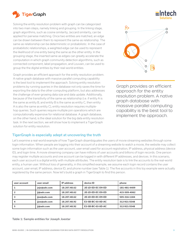

Solving the entity resolution problem with graph can be categorized into two main steps, namely linking and grouping. In the linking stage, graph algorithms, such as cosine similarity, Jaccard similarity, can be applied for pairwise matching. Once two entities are matched, an edge can be drawn between them to represent the same-as relationship. The same-as relationship can be deterministic or probabilistic. In the case of probabilistic relationships, a weighted edge can be used to represent the likelihood of one entity being the same as the other entity. In the grouping stage, the inserted same-as edges can greatly accelerate the computation in which graph community detection algorithms, such as connected component, label propagation, and Louvain, can be used to group the the digital entities by their real-world entities.

Graph provides an efficient approach for the entity resolution problem. A native graph database with massive parallel computing capability is the best tool to implement the approach. Solving entity resolution problems by running queries in the database not only saves the time for exporting the data to the other computing platform, but also addresses the challenge of ever-growing data size and data update. Additionally, because of the transitivity of the same-as relationship (i.e. if entity A is the same as entity B, and entity B is the same as entity C, then entity A is also the same as entity C), entity resolution requires multiplehop queries. Such queries require multiple join operations which are computationally expensive for relational database. A graph database, on the other hand, is the ideal solution for the big data entity resolution task. In the next section, we will show how to implement a TigerGraph solution for entity resolution.

# TigerGraph is especially adept at uncovering the truth

Let's examine a real-world example of how TigerGraph disambiguates the users of movie streaming websites through some login information. When people are logging into their account of a streaming website to watch a movie, the website may collect some login information such as the user account, user email used for account registration, IP address, physical address (device ID), and login time. A movie streaming company can have millions of user accounts and billions of login records. One person may register multiple accounts and one account can be logged in with different IP addresses, and devices. In this scenario, each user account is a digital entity with multiple attributes. The entity resolution task is to link the accounts to the real-world entity, a human user. Without loss of generality, in this simplified example, we assume each login record contains the user account, user email, IP address, device ID, and phone number (see Table 1). The five accounts in this toy example were actually registered by the same person. Now let's build a graph in TigerGraph to find this person.

| user account            | user email   | <b>IP</b> address | device ID         | phone        |
|-------------------------|--------------|-------------------|-------------------|--------------|
|                         | jojo@adv.com | 18.207.48.62      | 2E-1D-ED-EC-D9-ED | 181-481-4409 |
|                         | jj@adv.com   | 18.207.48.62      | 2E-1D-ED-EC-D9-ED | 415-509-4062 |
|                         | jjoe@adv.com | 18.207.48.62      | 2E-1D-ED-EC-D9-ED | 505-316-1184 |
| $\overline{\mathbf{A}}$ | jjoe@adv.com | 18.207.48.92      | E3-5B-BC-03-0D-AC | 312-921-5548 |
|                         | jj@adv.com   | 18.207.48.92      | E3-5B-BC-03-0D-AC | 312-921-5548 |

Table 1: Sample entities for Joseph Joestar





Graph provides an efficient approach for the entity resolution problem. A native graph database with massive parallel computing capability is the best tool to implement the approach.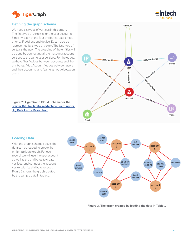

# Defining the graph schema

We need six types of vertices in this graph. The first type of vertex is for the user accounts. Similarly, each of the four attributes, user email, phone, IP address and device ID, can also be represented by a type of vertex. The last type of vertex is the user. The grouping of the entities will be done by connecting all the matching account vertices to the same user vertices. For the edges, we have "has" edges between accounts and the attributes, "Has Account" edges between users and their accounts, and "same as" edge between users.

Figure 2: TigerGraph Cloud Schema for the [Starter Kit - In-Database Machine Learning for](https://www.tigergraph.com/starterkits/)  Big Data Entity Resolution



 $\equiv$ Intech

# Loading Data

With the graph schema above, the data can be loaded to create the entity-attribute graph. For each record, we will use the user account as well as the attributes to create vertices, and connect the account vertex with its attribute vertices. Figure 3 shows the graph created by the sample data in table 1.



Figure 3. The graph created by loading the data in Table 1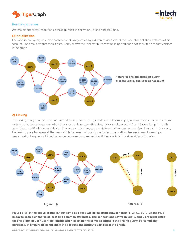



# Running queries

We implement entity resolution as three queries: Initialization, linking and grouping.

# **1) Initialization**

The initialization query assumes each account is registered by a different user and let the user inherit all the attributes of his account. For simplicity purposes, figure 4 only shows the user-attribute relationships and does not show the account vertices in the graph.



# **2) Linking**

The linking query connects the entities that satisfy the matching condition. In this example, let's assume two accounts were registered by the same person when they share at least two attributes. For example, account 1 and 3 were logged in both using the same IP address and device, thus we consider they were registered by the same person (see figure 4). In this case, the linking query traverses all the user - attribute - user paths and counts how many attributes are shared for each pair of users. Lastly, the query will insert an edge between two user vertices if they are linked by at least two attributes.



Figure 5: (a) In the above example, four same-as edges will be inserted between user (1, 2), (1, 3), (2, 3) and (4, 5) because each pair shares at least two common attributes. The connections between user 1 and 2 are highlighted. (b) The graph of user-user relationship after inserting the same-as edges in the linking query. For simplicity purposes, this figure does not show the account and attribute vertices in the graph.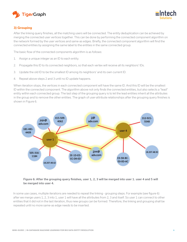



# **3) Grouping**

After the linking query finishes, all the matching users will be connected. The entity deduplication can be achieved by merging the connected user vertices together. This can be done by performing the connected component algorithm on the network formed by the user vertices and same-as edges. Briefly, the connected component algorithm will find the connected entities by assigning the same label to the entities in the same connected group.

The basic flow of the connected components algorithm is as follows:

- 1. Assign a unique integer as an ID to each entity.
- 2. Propagate this ID to its connected neighbors, so that each vertex will receive all its neighbors' IDs.
- 3. Update the old ID to be the smallest ID among its neighbors' and its own current ID.
- 4. Repeat above steps 2 and 3 until no ID update happens.

When iteration stops, the vertices in each connected component will have the same ID. And this ID will be the smallest ID within the connected component. The algorithm above not only finds the connected entities, but also selects a "lead" entity within each connected group. The last step of the grouping query is to let the lead entities inherit all the attributes in the group and to remove the other entities. The graph of user-attribute relationships after the grouping query finishes is shown in Figure 6.



Figure 6: After the grouping query finishes, user 1, 2, 3 will be merged into user 1. user 4 and 5 will be merged into user 4.

In some use cases, multiple iterations are needed to repeat the linking - grouping steps. For example (see figure 6) after we merge users 1, 2, 3 into 1, user 1 will have all the attributes from 2, 3 and itself. So user 1 can connect to other entities that it did not in the last iteration, thus new groups can be formed. Therefore, the linking and grouping shall be repeated until no more same-as edge needs to be inserted.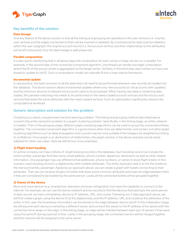



# Key benefits of the solution

#### **Data lineage**

One key feature of the above solution is that all the linking and grouping are operated on the user vertices (i.e. only the user vertices and the edges connected to them will be inserted or deleted). By constraining the data insertion/deletion within the user subgraph, the original account record (i.e. the account vertices and their relationships to the attributes) will be left untouched, thus the data lineage is well preserved.

#### **Parallel computation**

It is also worth mentioning that in all above steps the computation for each vertex or edge can be run in parallel. For example, in the second step of the connected component algorithm, one thread can handle one edge computation where the ID of the source vertex is aggregated on the target vertex. Similarly, in the third step, each vertex can have one thread to update its old ID. Such a computation model can naturally fit into a map-reduce framework.

#### **Incremental update**

In real practice, the batch process on all the data does not need to be performed whenever new records are loaded into the database. The above solution allows incremental updates where only new accounts (or old accounts with updates) and the minimum amount of relevant old accounts need to be processed. When having new data or streaming data loaded, the pairwise matching only needs to be performed on the newly loaded account vertices and the old account vertices that share the same attributes with the newly loaded vertices. Such an optimization significantly reduces the computational workload.

# Generic description and solution for the problem

Clustering is a classic unsupervised machine learning problem. The linking and grouping method described above converts the entity resolution problem to a graph clustering problem. Specifically, in the linking stage, an entity network is created. Then in the grouping stage, different graph clustering algorithms can be used to group the connected entities together. The connected component algorithm is a good choice when links are deterministic and certain, but other graph clustering algorithms such as label propagation and Louvain may be more suitable if the linkages are weighted according to confidence. Since graph is an abstraction of relationships, the graph solution in the above example can be easily adapted for other use cases. Here we will list four more examples.

#### **1) Flight ticket booking**

An airline company can have millions of ticket booking records in the database. Each booking record can include the ticket number, passenger first/last name, email address, phone number, departure, destination as well as other related information. One passenger may use different email addresses, phone numbers, or names to book flight tickets. In this scenario, each booking record is a digital entity with multiple attributes. The entity resolution task is to link the tickets to the real-world entity, passenger. Applying our approach above, we can create a graph with tickets connecting to their attributes. Then we can traverse all pairs of tickets that share some common attributes and insert an edge between them if they are considered to be booked by the same person. Lastly all the connected tickets will be grouped together.

#### **2) Owner of the device**

More and more devices (e.g. smartphone, television and even refrigerator) now have the capability to connect to the internet. For example, we can use the device network activity records to find the devices that belong to the same person. In each record, we have a timestamp, device id, IP address, URL, and cookie. Following our 3-step approach above, we will first create a graph using the device ID as the digital entity, and the IP address, URL and cookie as the attributes of the entity. In this case, the timestamp information can be stored on the edge between device and IP. In the initialization stage, we will assume each device is owned by a different owner, and connect the owner to the IP address of his device with the connection time range on the edge. In the linking stage, an edge will be inserted between each pair of owners if they were using the same IP during a period of time. Lastly in the grouping stage, the connected owners will be merged together and their devices will be assigned to the same owner.